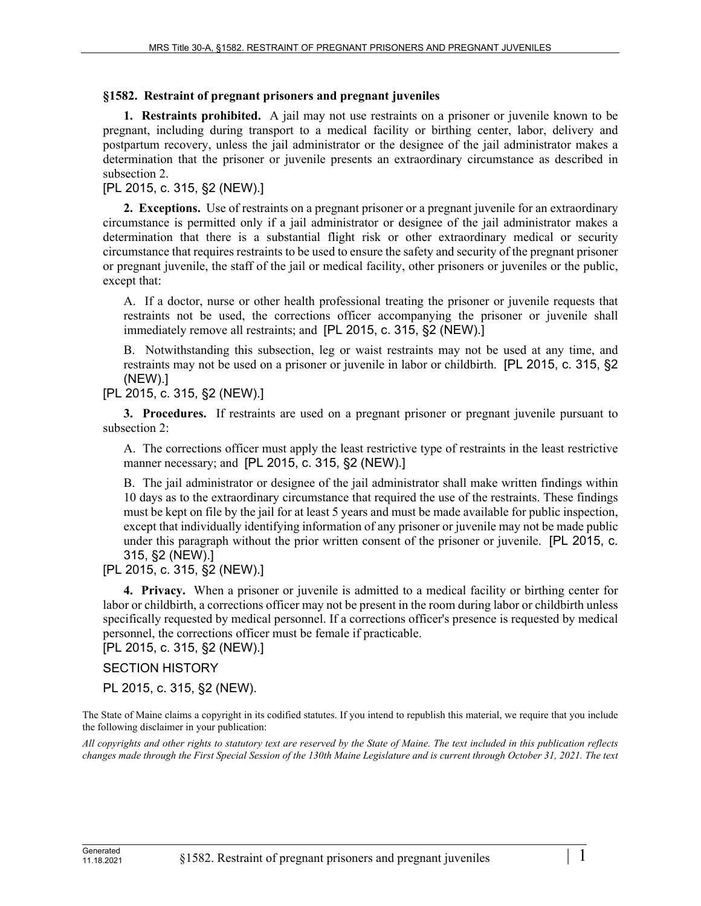## **§1582. Restraint of pregnant prisoners and pregnant juveniles**

**1. Restraints prohibited.** A jail may not use restraints on a prisoner or juvenile known to be pregnant, including during transport to a medical facility or birthing center, labor, delivery and postpartum recovery, unless the jail administrator or the designee of the jail administrator makes a determination that the prisoner or juvenile presents an extraordinary circumstance as described in subsection 2.

## [PL 2015, c. 315, §2 (NEW).]

**2. Exceptions.** Use of restraints on a pregnant prisoner or a pregnant juvenile for an extraordinary circumstance is permitted only if a jail administrator or designee of the jail administrator makes a determination that there is a substantial flight risk or other extraordinary medical or security circumstance that requires restraints to be used to ensure the safety and security of the pregnant prisoner or pregnant juvenile, the staff of the jail or medical facility, other prisoners or juveniles or the public, except that:

A. If a doctor, nurse or other health professional treating the prisoner or juvenile requests that restraints not be used, the corrections officer accompanying the prisoner or juvenile shall immediately remove all restraints; and [PL 2015, c. 315, §2 (NEW).]

B. Notwithstanding this subsection, leg or waist restraints may not be used at any time, and restraints may not be used on a prisoner or juvenile in labor or childbirth. [PL 2015, c. 315, §2 (NEW).]

[PL 2015, c. 315, §2 (NEW).]

**3. Procedures.** If restraints are used on a pregnant prisoner or pregnant juvenile pursuant to subsection 2:

A. The corrections officer must apply the least restrictive type of restraints in the least restrictive manner necessary; and [PL 2015, c. 315, §2 (NEW).]

B. The jail administrator or designee of the jail administrator shall make written findings within 10 days as to the extraordinary circumstance that required the use of the restraints. These findings must be kept on file by the jail for at least 5 years and must be made available for public inspection, except that individually identifying information of any prisoner or juvenile may not be made public under this paragraph without the prior written consent of the prisoner or juvenile. [PL 2015, c. 315, §2 (NEW).]

[PL 2015, c. 315, §2 (NEW).]

**4. Privacy.** When a prisoner or juvenile is admitted to a medical facility or birthing center for labor or childbirth, a corrections officer may not be present in the room during labor or childbirth unless specifically requested by medical personnel. If a corrections officer's presence is requested by medical personnel, the corrections officer must be female if practicable.

[PL 2015, c. 315, §2 (NEW).]

## SECTION HISTORY

PL 2015, c. 315, §2 (NEW).

The State of Maine claims a copyright in its codified statutes. If you intend to republish this material, we require that you include the following disclaimer in your publication:

*All copyrights and other rights to statutory text are reserved by the State of Maine. The text included in this publication reflects changes made through the First Special Session of the 130th Maine Legislature and is current through October 31, 2021. The text*